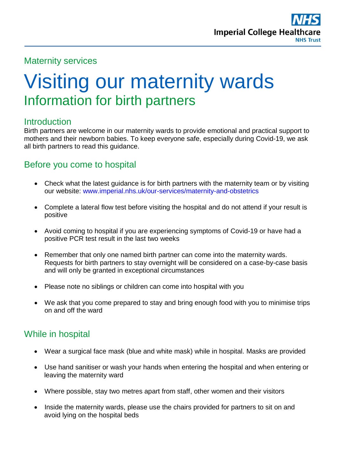## Maternity services

# Visiting our maternity wards Information for birth partners

## **Introduction**

Birth partners are welcome in our maternity wards to provide emotional and practical support to mothers and their newborn babies. To keep everyone safe, especially during Covid-19, we ask all birth partners to read this guidance.

## Before you come to hospital

- Check what the latest quidance is for birth partners with the maternity team or by visiting our website: [www.imperial.nhs.uk/our-services/maternity-and-obstetrics](http://www.imperial.nhs.uk/our-services/maternity-and-obstetrics)
- Complete a lateral flow test before visiting the hospital and do not attend if your result is positive
- Avoid coming to hospital if you are experiencing symptoms of Covid-19 or have had a positive PCR test result in the last two weeks
- Remember that only one named birth partner can come into the maternity wards. Requests for birth partners to stay overnight will be considered on a case-by-case basis and will only be granted in exceptional circumstances
- Please note no siblings or children can come into hospital with you
- We ask that you come prepared to stay and bring enough food with you to minimise trips on and off the ward

## While in hospital

- Wear a surgical face mask (blue and white mask) while in hospital. Masks are provided
- Use hand sanitiser or wash your hands when entering the hospital and when entering or leaving the maternity ward
- Where possible, stay two metres apart from staff, other women and their visitors
- Inside the maternity wards, please use the chairs provided for partners to sit on and avoid lying on the hospital beds